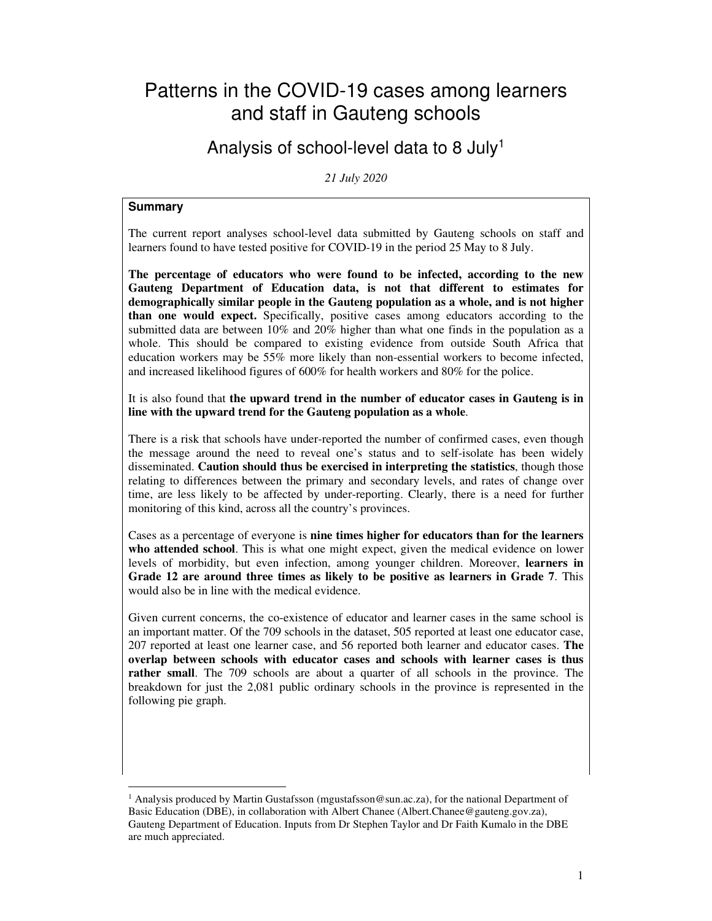# Patterns in the COVID-19 cases among learners and staff in Gauteng schools

## Analysis of school-level data to 8 July<sup>1</sup>

*21 July 2020* 

### **Summary**

The current report analyses school-level data submitted by Gauteng schools on staff and learners found to have tested positive for COVID-19 in the period 25 May to 8 July.

**The percentage of educators who were found to be infected, according to the new Gauteng Department of Education data, is not that different to estimates for demographically similar people in the Gauteng population as a whole, and is not higher than one would expect.** Specifically, positive cases among educators according to the submitted data are between 10% and 20% higher than what one finds in the population as a whole. This should be compared to existing evidence from outside South Africa that education workers may be 55% more likely than non-essential workers to become infected, and increased likelihood figures of 600% for health workers and 80% for the police.

It is also found that **the upward trend in the number of educator cases in Gauteng is in line with the upward trend for the Gauteng population as a whole**.

There is a risk that schools have under-reported the number of confirmed cases, even though the message around the need to reveal one's status and to self-isolate has been widely disseminated. **Caution should thus be exercised in interpreting the statistics**, though those relating to differences between the primary and secondary levels, and rates of change over time, are less likely to be affected by under-reporting. Clearly, there is a need for further monitoring of this kind, across all the country's provinces.

Cases as a percentage of everyone is **nine times higher for educators than for the learners who attended school**. This is what one might expect, given the medical evidence on lower levels of morbidity, but even infection, among younger children. Moreover, **learners in Grade 12 are around three times as likely to be positive as learners in Grade 7**. This would also be in line with the medical evidence.

Given current concerns, the co-existence of educator and learner cases in the same school is an important matter. Of the 709 schools in the dataset, 505 reported at least one educator case, 207 reported at least one learner case, and 56 reported both learner and educator cases. **The overlap between schools with educator cases and schools with learner cases is thus rather small**. The 709 schools are about a quarter of all schools in the province. The breakdown for just the 2,081 public ordinary schools in the province is represented in the following pie graph.

<sup>&</sup>lt;sup>1</sup> Analysis produced by Martin Gustafsson (mgustafsson@sun.ac.za), for the national Department of Basic Education (DBE), in collaboration with Albert Chanee (Albert.Chanee@gauteng.gov.za), Gauteng Department of Education. Inputs from Dr Stephen Taylor and Dr Faith Kumalo in the DBE are much appreciated.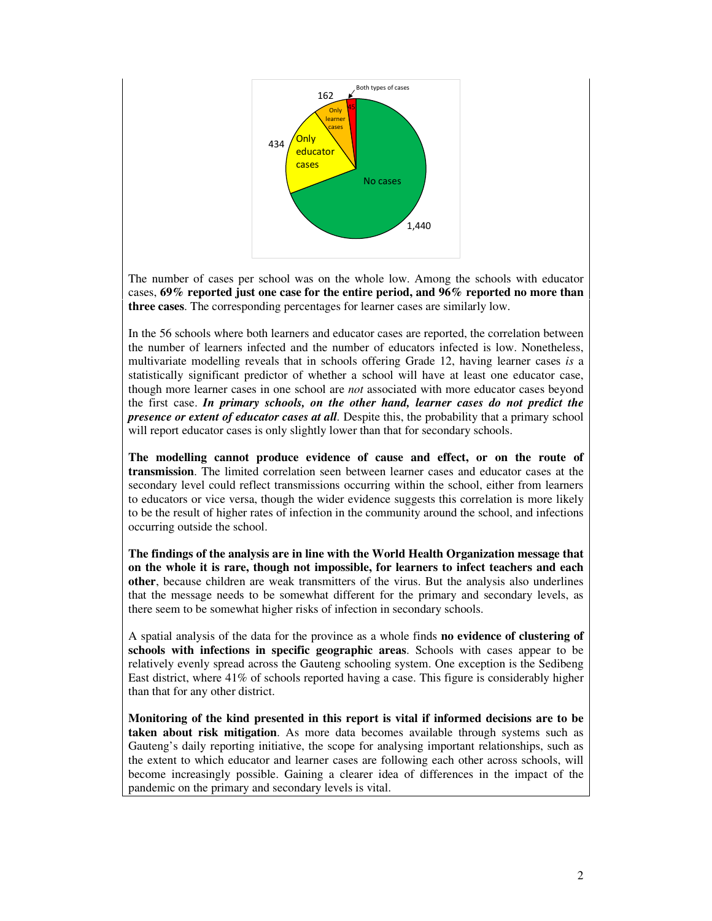

The number of cases per school was on the whole low. Among the schools with educator cases, **69% reported just one case for the entire period, and 96% reported no more than three cases**. The corresponding percentages for learner cases are similarly low.

In the 56 schools where both learners and educator cases are reported, the correlation between the number of learners infected and the number of educators infected is low. Nonetheless, multivariate modelling reveals that in schools offering Grade 12, having learner cases *is* a statistically significant predictor of whether a school will have at least one educator case, though more learner cases in one school are *not* associated with more educator cases beyond the first case. *In primary schools, on the other hand, learner cases do not predict the presence or extent of educator cases at all.* Despite this, the probability that a primary school will report educator cases is only slightly lower than that for secondary schools.

**The modelling cannot produce evidence of cause and effect, or on the route of transmission**. The limited correlation seen between learner cases and educator cases at the secondary level could reflect transmissions occurring within the school, either from learners to educators or vice versa, though the wider evidence suggests this correlation is more likely to be the result of higher rates of infection in the community around the school, and infections occurring outside the school.

**The findings of the analysis are in line with the World Health Organization message that on the whole it is rare, though not impossible, for learners to infect teachers and each other**, because children are weak transmitters of the virus. But the analysis also underlines that the message needs to be somewhat different for the primary and secondary levels, as there seem to be somewhat higher risks of infection in secondary schools.

A spatial analysis of the data for the province as a whole finds **no evidence of clustering of schools with infections in specific geographic areas**. Schools with cases appear to be relatively evenly spread across the Gauteng schooling system. One exception is the Sedibeng East district, where 41% of schools reported having a case. This figure is considerably higher than that for any other district.

**Monitoring of the kind presented in this report is vital if informed decisions are to be taken about risk mitigation**. As more data becomes available through systems such as Gauteng's daily reporting initiative, the scope for analysing important relationships, such as the extent to which educator and learner cases are following each other across schools, will become increasingly possible. Gaining a clearer idea of differences in the impact of the pandemic on the primary and secondary levels is vital.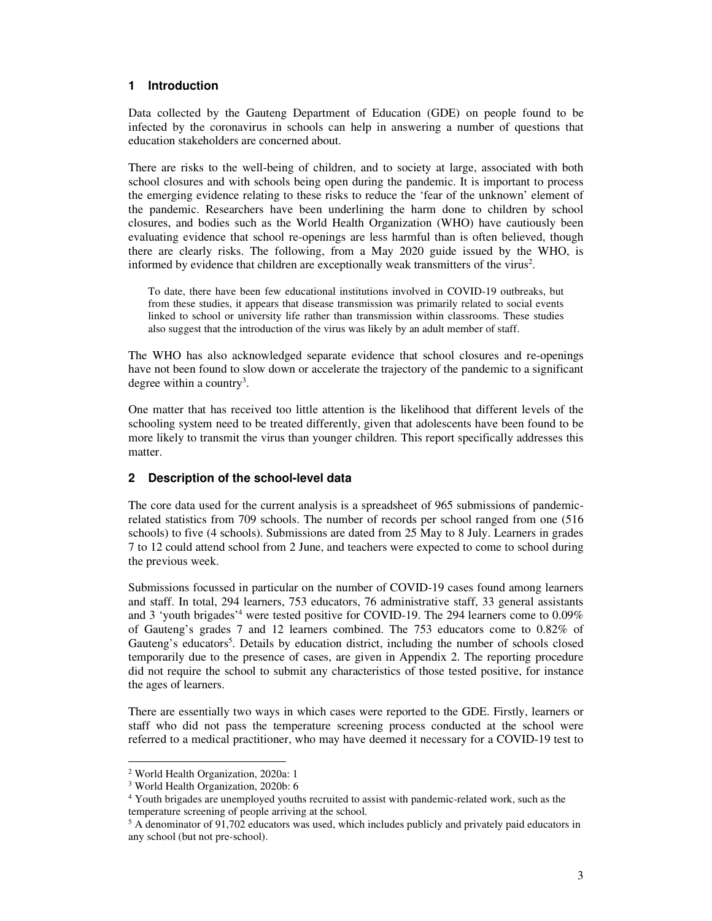#### **1 Introduction**

Data collected by the Gauteng Department of Education (GDE) on people found to be infected by the coronavirus in schools can help in answering a number of questions that education stakeholders are concerned about.

There are risks to the well-being of children, and to society at large, associated with both school closures and with schools being open during the pandemic. It is important to process the emerging evidence relating to these risks to reduce the 'fear of the unknown' element of the pandemic. Researchers have been underlining the harm done to children by school closures, and bodies such as the World Health Organization (WHO) have cautiously been evaluating evidence that school re-openings are less harmful than is often believed, though there are clearly risks. The following, from a May 2020 guide issued by the WHO, is informed by evidence that children are exceptionally weak transmitters of the virus<sup>2</sup>.

To date, there have been few educational institutions involved in COVID-19 outbreaks, but from these studies, it appears that disease transmission was primarily related to social events linked to school or university life rather than transmission within classrooms. These studies also suggest that the introduction of the virus was likely by an adult member of staff.

The WHO has also acknowledged separate evidence that school closures and re-openings have not been found to slow down or accelerate the trajectory of the pandemic to a significant degree within a country<sup>3</sup>.

One matter that has received too little attention is the likelihood that different levels of the schooling system need to be treated differently, given that adolescents have been found to be more likely to transmit the virus than younger children. This report specifically addresses this matter.

## **2 Description of the school-level data**

The core data used for the current analysis is a spreadsheet of 965 submissions of pandemicrelated statistics from 709 schools. The number of records per school ranged from one (516 schools) to five (4 schools). Submissions are dated from 25 May to 8 July. Learners in grades 7 to 12 could attend school from 2 June, and teachers were expected to come to school during the previous week.

Submissions focussed in particular on the number of COVID-19 cases found among learners and staff. In total, 294 learners, 753 educators, 76 administrative staff, 33 general assistants and 3 'youth brigades'<sup>4</sup> were tested positive for COVID-19. The 294 learners come to 0.09% of Gauteng's grades 7 and 12 learners combined. The 753 educators come to 0.82% of Gauteng's educators<sup>5</sup>. Details by education district, including the number of schools closed temporarily due to the presence of cases, are given in Appendix 2. The reporting procedure did not require the school to submit any characteristics of those tested positive, for instance the ages of learners.

There are essentially two ways in which cases were reported to the GDE. Firstly, learners or staff who did not pass the temperature screening process conducted at the school were referred to a medical practitioner, who may have deemed it necessary for a COVID-19 test to

<sup>2</sup> World Health Organization, 2020a: 1

<sup>3</sup> World Health Organization, 2020b: 6

<sup>&</sup>lt;sup>4</sup> Youth brigades are unemployed youths recruited to assist with pandemic-related work, such as the temperature screening of people arriving at the school.

<sup>&</sup>lt;sup>5</sup> A denominator of 91,702 educators was used, which includes publicly and privately paid educators in any school (but not pre-school).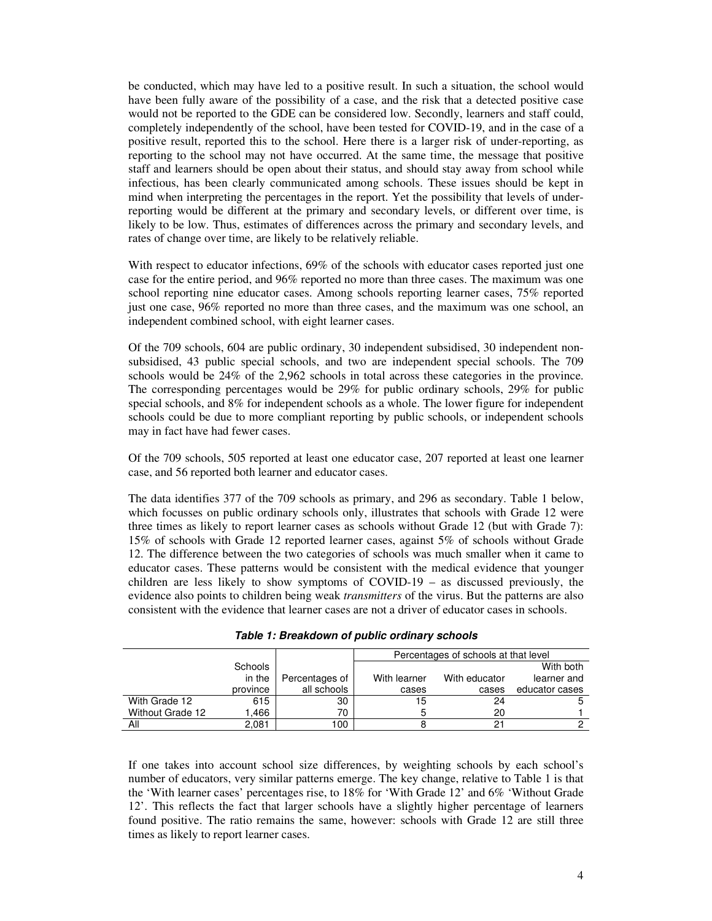be conducted, which may have led to a positive result. In such a situation, the school would have been fully aware of the possibility of a case, and the risk that a detected positive case would not be reported to the GDE can be considered low. Secondly, learners and staff could, completely independently of the school, have been tested for COVID-19, and in the case of a positive result, reported this to the school. Here there is a larger risk of under-reporting, as reporting to the school may not have occurred. At the same time, the message that positive staff and learners should be open about their status, and should stay away from school while infectious, has been clearly communicated among schools. These issues should be kept in mind when interpreting the percentages in the report. Yet the possibility that levels of underreporting would be different at the primary and secondary levels, or different over time, is likely to be low. Thus, estimates of differences across the primary and secondary levels, and rates of change over time, are likely to be relatively reliable.

With respect to educator infections, 69% of the schools with educator cases reported just one case for the entire period, and 96% reported no more than three cases. The maximum was one school reporting nine educator cases. Among schools reporting learner cases, 75% reported just one case, 96% reported no more than three cases, and the maximum was one school, an independent combined school, with eight learner cases.

Of the 709 schools, 604 are public ordinary, 30 independent subsidised, 30 independent nonsubsidised, 43 public special schools, and two are independent special schools. The 709 schools would be 24% of the 2,962 schools in total across these categories in the province. The corresponding percentages would be 29% for public ordinary schools, 29% for public special schools, and 8% for independent schools as a whole. The lower figure for independent schools could be due to more compliant reporting by public schools, or independent schools may in fact have had fewer cases.

Of the 709 schools, 505 reported at least one educator case, 207 reported at least one learner case, and 56 reported both learner and educator cases.

The data identifies 377 of the 709 schools as primary, and 296 as secondary. Table 1 below, which focusses on public ordinary schools only, illustrates that schools with Grade 12 were three times as likely to report learner cases as schools without Grade 12 (but with Grade 7): 15% of schools with Grade 12 reported learner cases, against 5% of schools without Grade 12. The difference between the two categories of schools was much smaller when it came to educator cases. These patterns would be consistent with the medical evidence that younger children are less likely to show symptoms of COVID-19 – as discussed previously, the evidence also points to children being weak *transmitters* of the virus. But the patterns are also consistent with the evidence that learner cases are not a driver of educator cases in schools.

|                  |          |                | Percentages of schools at that level |               |                |
|------------------|----------|----------------|--------------------------------------|---------------|----------------|
|                  | Schools  |                |                                      |               | With both      |
|                  | in the   | Percentages of | With learner                         | With educator | learner and    |
|                  | province | all schools    | cases                                | cases         | educator cases |
| With Grade 12    | 615      | 30             | 15                                   | 24            |                |
| Without Grade 12 | .466     | 70             | b                                    | 20            |                |
| ΑIΙ              | 2.081    | 100            |                                      |               |                |

**Table 1: Breakdown of public ordinary schools** 

If one takes into account school size differences, by weighting schools by each school's number of educators, very similar patterns emerge. The key change, relative to Table 1 is that the 'With learner cases' percentages rise, to 18% for 'With Grade 12' and 6% 'Without Grade 12'. This reflects the fact that larger schools have a slightly higher percentage of learners found positive. The ratio remains the same, however: schools with Grade 12 are still three times as likely to report learner cases.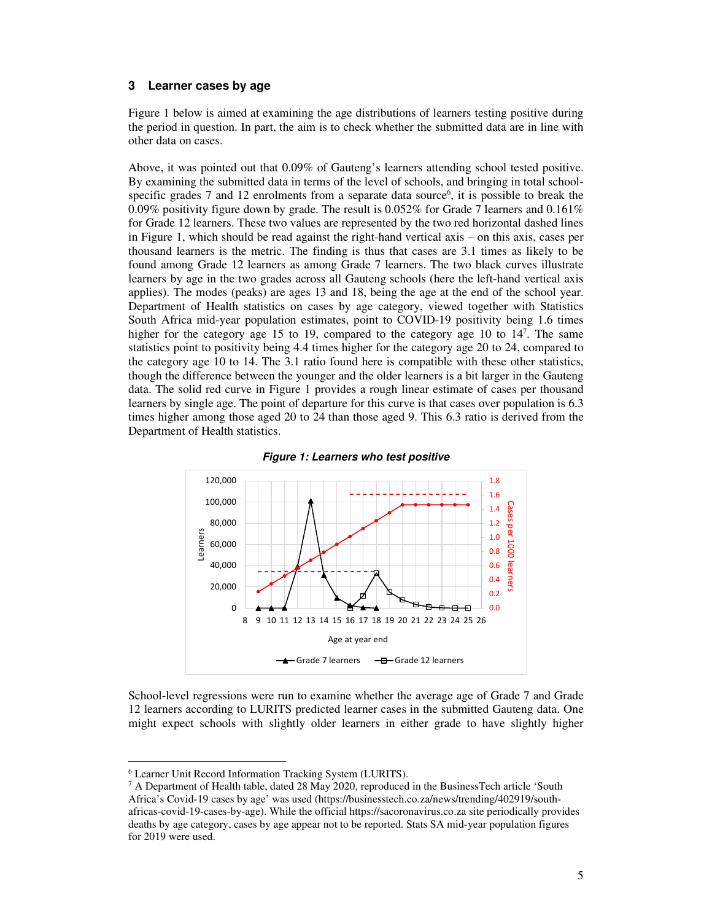#### **3 Learner cases by age**

Figure 1 below is aimed at examining the age distributions of learners testing positive during the period in question. In part, the aim is to check whether the submitted data are in line with other data on cases.

Above, it was pointed out that 0.09% of Gauteng's learners attending school tested positive. By examining the submitted data in terms of the level of schools, and bringing in total schoolspecific grades  $7$  and  $12$  enrolments from a separate data source<sup>6</sup>, it is possible to break the 0.09% positivity figure down by grade. The result is 0.052% for Grade 7 learners and 0.161% for Grade 12 learners. These two values are represented by the two red horizontal dashed lines in Figure 1, which should be read against the right-hand vertical axis – on this axis, cases per thousand learners is the metric. The finding is thus that cases are 3.1 times as likely to be found among Grade 12 learners as among Grade 7 learners. The two black curves illustrate learners by age in the two grades across all Gauteng schools (here the left-hand vertical axis applies). The modes (peaks) are ages 13 and 18, being the age at the end of the school year. Department of Health statistics on cases by age category, viewed together with Statistics South Africa mid-year population estimates, point to COVID-19 positivity being 1.6 times higher for the category age 15 to 19, compared to the category age 10 to 14<sup>7</sup>. The same statistics point to positivity being 4.4 times higher for the category age 20 to 24, compared to the category age 10 to 14. The 3.1 ratio found here is compatible with these other statistics, though the difference between the younger and the older learners is a bit larger in the Gauteng data. The solid red curve in Figure 1 provides a rough linear estimate of cases per thousand learners by single age. The point of departure for this curve is that cases over population is 6.3 times higher among those aged 20 to 24 than those aged 9. This 6.3 ratio is derived from the Department of Health statistics.





School-level regressions were run to examine whether the average age of Grade 7 and Grade 12 learners according to LURITS predicted learner cases in the submitted Gauteng data. One might expect schools with slightly older learners in either grade to have slightly higher

<sup>6</sup> Learner Unit Record Information Tracking System (LURITS).

<sup>&</sup>lt;sup>7</sup> A Department of Health table, dated 28 May 2020, reproduced in the BusinessTech article 'South Africa's Covid-19 cases by age' was used (https://businesstech.co.za/news/trending/402919/southafricas-covid-19-cases-by-age). While the official https://sacoronavirus.co.za site periodically provides deaths by age category, cases by age appear not to be reported. Stats SA mid-year population figures for 2019 were used.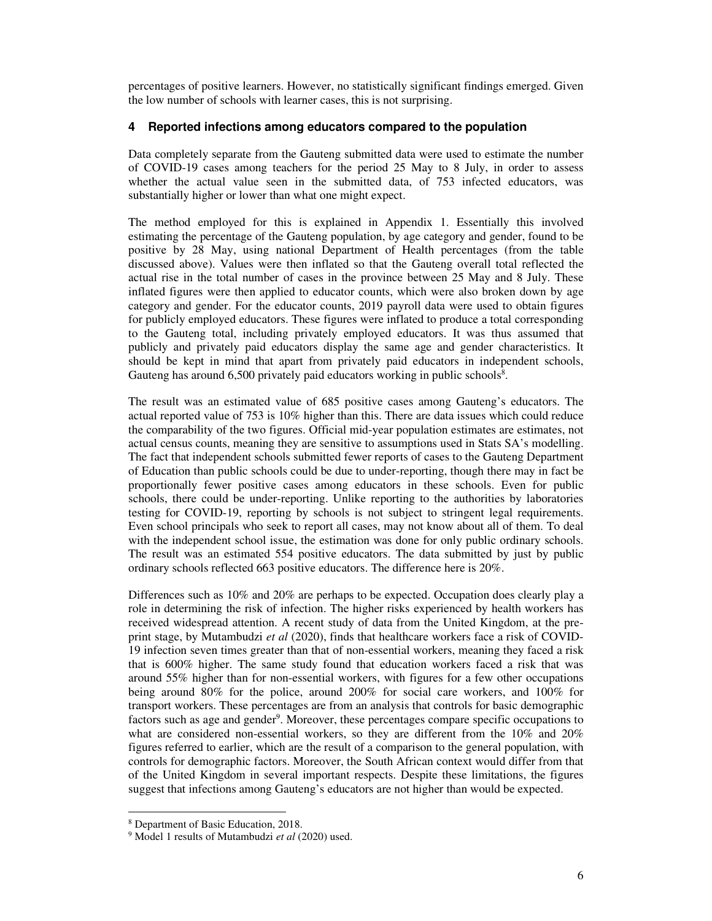percentages of positive learners. However, no statistically significant findings emerged. Given the low number of schools with learner cases, this is not surprising.

#### **4 Reported infections among educators compared to the population**

Data completely separate from the Gauteng submitted data were used to estimate the number of COVID-19 cases among teachers for the period 25 May to 8 July, in order to assess whether the actual value seen in the submitted data, of 753 infected educators, was substantially higher or lower than what one might expect.

The method employed for this is explained in Appendix 1. Essentially this involved estimating the percentage of the Gauteng population, by age category and gender, found to be positive by 28 May, using national Department of Health percentages (from the table discussed above). Values were then inflated so that the Gauteng overall total reflected the actual rise in the total number of cases in the province between 25 May and 8 July. These inflated figures were then applied to educator counts, which were also broken down by age category and gender. For the educator counts, 2019 payroll data were used to obtain figures for publicly employed educators. These figures were inflated to produce a total corresponding to the Gauteng total, including privately employed educators. It was thus assumed that publicly and privately paid educators display the same age and gender characteristics. It should be kept in mind that apart from privately paid educators in independent schools, Gauteng has around 6,500 privately paid educators working in public schools<sup>8</sup>.

The result was an estimated value of 685 positive cases among Gauteng's educators. The actual reported value of 753 is 10% higher than this. There are data issues which could reduce the comparability of the two figures. Official mid-year population estimates are estimates, not actual census counts, meaning they are sensitive to assumptions used in Stats SA's modelling. The fact that independent schools submitted fewer reports of cases to the Gauteng Department of Education than public schools could be due to under-reporting, though there may in fact be proportionally fewer positive cases among educators in these schools. Even for public schools, there could be under-reporting. Unlike reporting to the authorities by laboratories testing for COVID-19, reporting by schools is not subject to stringent legal requirements. Even school principals who seek to report all cases, may not know about all of them. To deal with the independent school issue, the estimation was done for only public ordinary schools. The result was an estimated 554 positive educators. The data submitted by just by public ordinary schools reflected 663 positive educators. The difference here is 20%.

Differences such as 10% and 20% are perhaps to be expected. Occupation does clearly play a role in determining the risk of infection. The higher risks experienced by health workers has received widespread attention. A recent study of data from the United Kingdom, at the preprint stage, by Mutambudzi *et al* (2020), finds that healthcare workers face a risk of COVID-19 infection seven times greater than that of non-essential workers, meaning they faced a risk that is 600% higher. The same study found that education workers faced a risk that was around 55% higher than for non-essential workers, with figures for a few other occupations being around 80% for the police, around 200% for social care workers, and 100% for transport workers. These percentages are from an analysis that controls for basic demographic factors such as age and gender<sup>9</sup>. Moreover, these percentages compare specific occupations to what are considered non-essential workers, so they are different from the 10% and 20% figures referred to earlier, which are the result of a comparison to the general population, with controls for demographic factors. Moreover, the South African context would differ from that of the United Kingdom in several important respects. Despite these limitations, the figures suggest that infections among Gauteng's educators are not higher than would be expected.

<sup>8</sup> Department of Basic Education, 2018.

<sup>9</sup> Model 1 results of Mutambudzi *et al* (2020) used.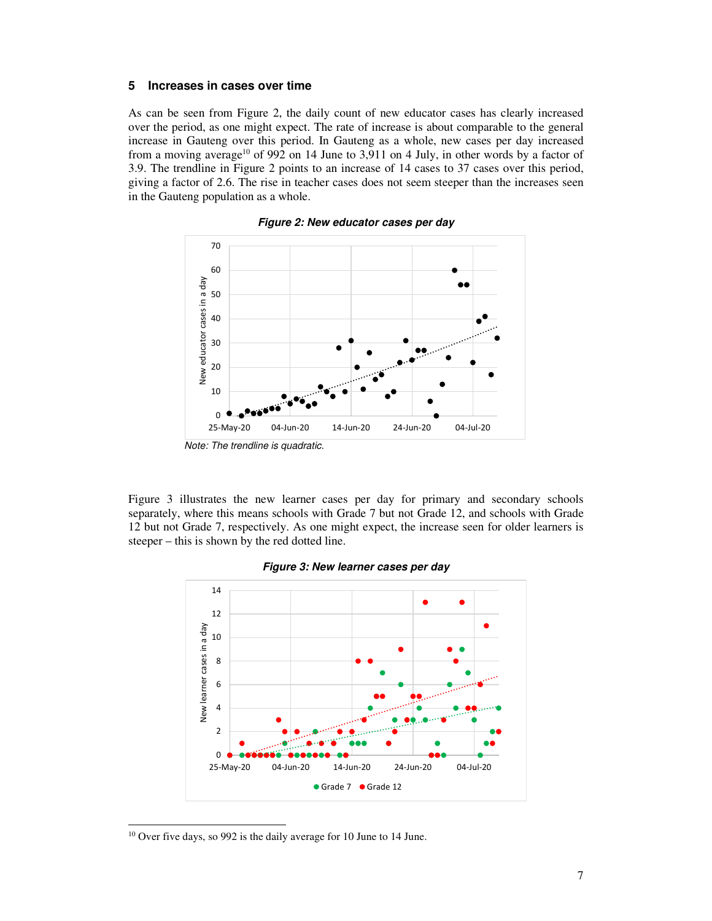#### **5 Increases in cases over time**

As can be seen from Figure 2, the daily count of new educator cases has clearly increased over the period, as one might expect. The rate of increase is about comparable to the general increase in Gauteng over this period. In Gauteng as a whole, new cases per day increased from a moving average<sup>10</sup> of 992 on 14 June to 3,911 on 4 July, in other words by a factor of 3.9. The trendline in Figure 2 points to an increase of 14 cases to 37 cases over this period, giving a factor of 2.6. The rise in teacher cases does not seem steeper than the increases seen in the Gauteng population as a whole.



**Figure 2: New educator cases per day** 

Figure 3 illustrates the new learner cases per day for primary and secondary schools separately, where this means schools with Grade 7 but not Grade 12, and schools with Grade 12 but not Grade 7, respectively. As one might expect, the increase seen for older learners is steeper – this is shown by the red dotted line.



**Figure 3: New learner cases per day** 



<sup>10</sup> Over five days, so 992 is the daily average for 10 June to 14 June.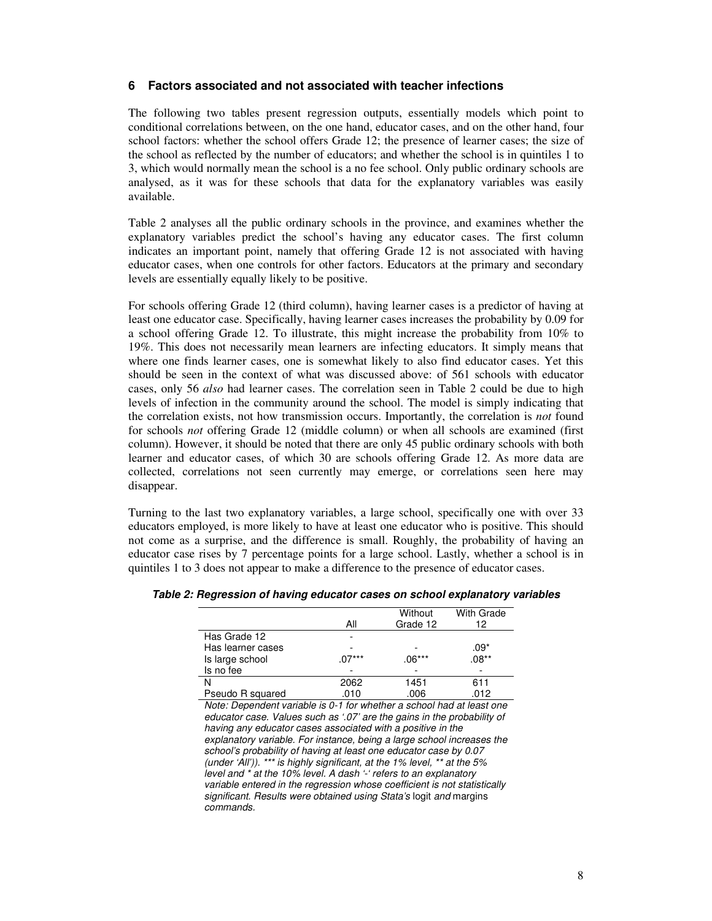### **6 Factors associated and not associated with teacher infections**

The following two tables present regression outputs, essentially models which point to conditional correlations between, on the one hand, educator cases, and on the other hand, four school factors: whether the school offers Grade 12; the presence of learner cases; the size of the school as reflected by the number of educators; and whether the school is in quintiles 1 to 3, which would normally mean the school is a no fee school. Only public ordinary schools are analysed, as it was for these schools that data for the explanatory variables was easily available.

Table 2 analyses all the public ordinary schools in the province, and examines whether the explanatory variables predict the school's having any educator cases. The first column indicates an important point, namely that offering Grade 12 is not associated with having educator cases, when one controls for other factors. Educators at the primary and secondary levels are essentially equally likely to be positive.

For schools offering Grade 12 (third column), having learner cases is a predictor of having at least one educator case. Specifically, having learner cases increases the probability by 0.09 for a school offering Grade 12. To illustrate, this might increase the probability from 10% to 19%. This does not necessarily mean learners are infecting educators. It simply means that where one finds learner cases, one is somewhat likely to also find educator cases. Yet this should be seen in the context of what was discussed above: of 561 schools with educator cases, only 56 *also* had learner cases. The correlation seen in Table 2 could be due to high levels of infection in the community around the school. The model is simply indicating that the correlation exists, not how transmission occurs. Importantly, the correlation is *not* found for schools *not* offering Grade 12 (middle column) or when all schools are examined (first column). However, it should be noted that there are only 45 public ordinary schools with both learner and educator cases, of which 30 are schools offering Grade 12. As more data are collected, correlations not seen currently may emerge, or correlations seen here may disappear.

Turning to the last two explanatory variables, a large school, specifically one with over 33 educators employed, is more likely to have at least one educator who is positive. This should not come as a surprise, and the difference is small. Roughly, the probability of having an educator case rises by 7 percentage points for a large school. Lastly, whether a school is in quintiles 1 to 3 does not appear to make a difference to the presence of educator cases.

|                   |         | Without  | <b>With Grade</b> |
|-------------------|---------|----------|-------------------|
|                   | All     | Grade 12 | 12                |
| Has Grade 12      |         |          |                   |
| Has learner cases |         |          | $.09*$            |
| Is large school   | $07***$ | $.06***$ | $.08**$           |
| Is no fee         |         |          |                   |
|                   | 2062    | 1451     | 611               |
| Pseudo R squared  | 010.    | .006     | .012              |

**Table 2: Regression of having educator cases on school explanatory variables** 

Note: Dependent variable is 0-1 for whether a school had at least one educator case. Values such as '.07' are the gains in the probability of having any educator cases associated with a positive in the explanatory variable. For instance, being a large school increases the school's probability of having at least one educator case by 0.07 (under 'All')). \*\*\* is highly significant, at the 1% level, \*\* at the 5% level and \* at the 10% level. A dash '-' refers to an explanatory variable entered in the regression whose coefficient is not statistically significant. Results were obtained using Stata's logit and margins commands.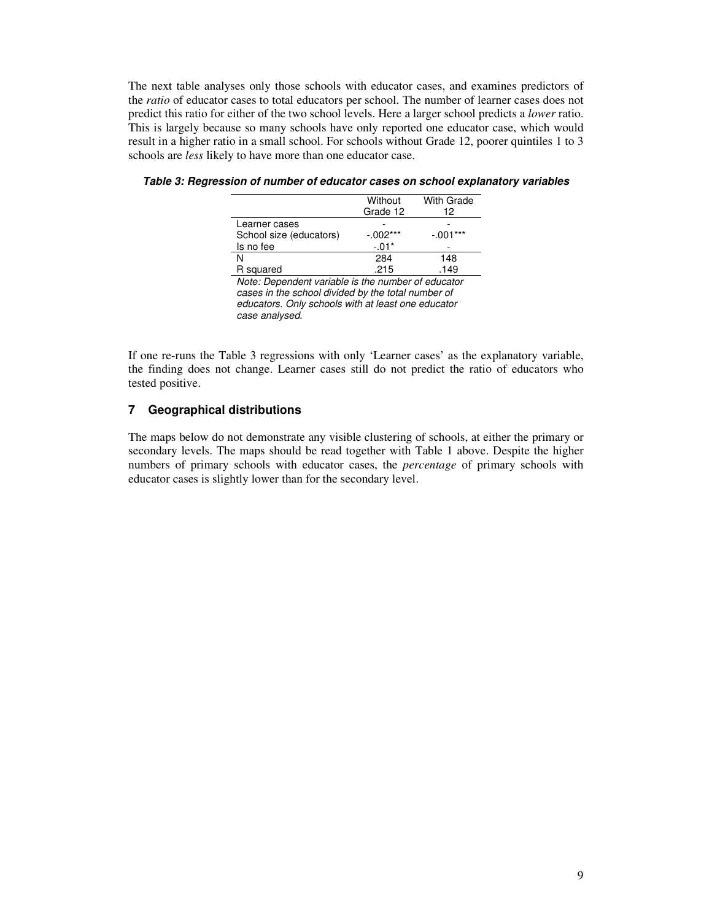The next table analyses only those schools with educator cases, and examines predictors of the *ratio* of educator cases to total educators per school. The number of learner cases does not predict this ratio for either of the two school levels. Here a larger school predicts a *lower* ratio. This is largely because so many schools have only reported one educator case, which would result in a higher ratio in a small school. For schools without Grade 12, poorer quintiles 1 to 3 schools are *less* likely to have more than one educator case.

|                                                    | Without    | <b>With Grade</b> |  |  |  |
|----------------------------------------------------|------------|-------------------|--|--|--|
|                                                    | Grade 12   | 12                |  |  |  |
| Learner cases                                      |            |                   |  |  |  |
| School size (educators)                            | $-.002***$ | $-.001***$        |  |  |  |
| Is no fee                                          | $-.01*$    |                   |  |  |  |
| N                                                  | 284        | 148               |  |  |  |
| R squared                                          | .215       | .149              |  |  |  |
| Note: Dependent variable is the number of educator |            |                   |  |  |  |
| cases in the school divided by the total number of |            |                   |  |  |  |
| educators. Only schools with at least one educator |            |                   |  |  |  |
| case analysed.                                     |            |                   |  |  |  |

**Table 3: Regression of number of educator cases on school explanatory variables** 

If one re-runs the Table 3 regressions with only 'Learner cases' as the explanatory variable, the finding does not change. Learner cases still do not predict the ratio of educators who tested positive.

## **7 Geographical distributions**

The maps below do not demonstrate any visible clustering of schools, at either the primary or secondary levels. The maps should be read together with Table 1 above. Despite the higher numbers of primary schools with educator cases, the *percentage* of primary schools with educator cases is slightly lower than for the secondary level.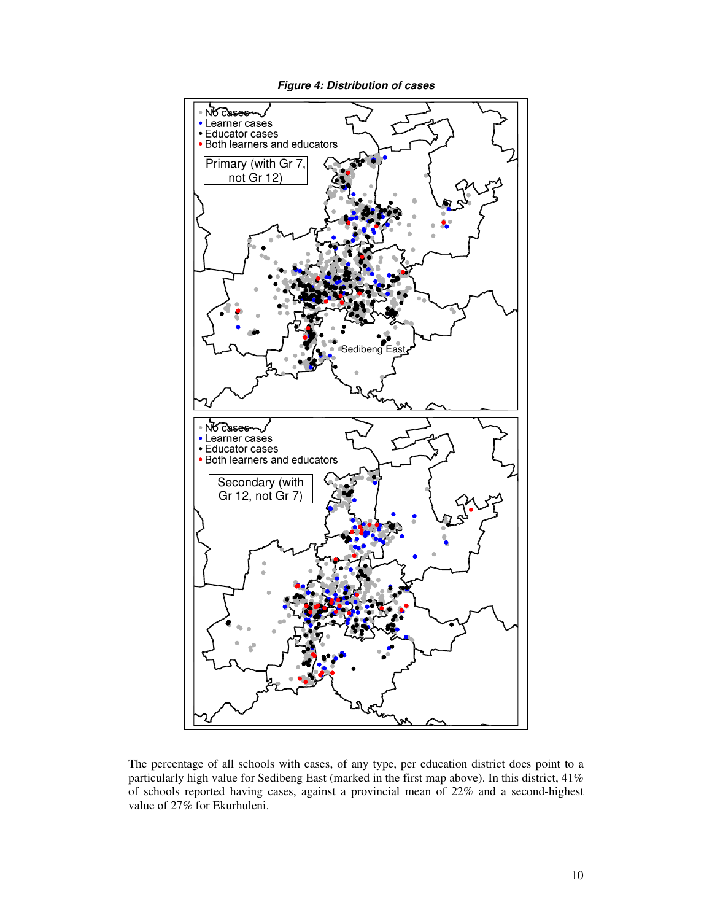

The percentage of all schools with cases, of any type, per education district does point to a

particularly high value for Sedibeng East (marked in the first map above). In this district, 41% of schools reported having cases, against a provincial mean of 22% and a second-highest value of 27% for Ekurhuleni.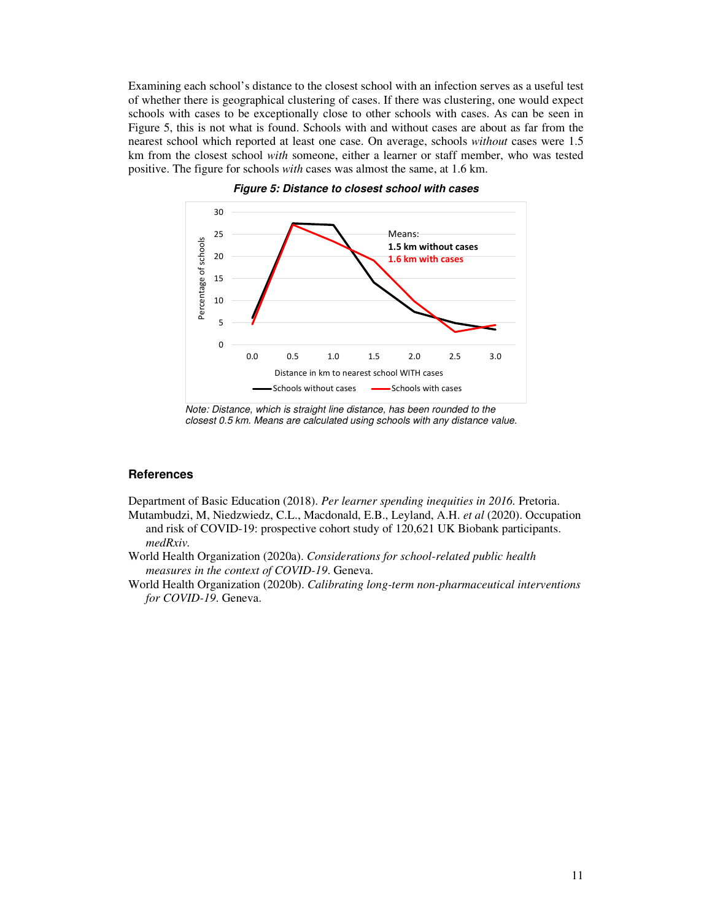Examining each school's distance to the closest school with an infection serves as a useful test of whether there is geographical clustering of cases. If there was clustering, one would expect schools with cases to be exceptionally close to other schools with cases. As can be seen in Figure 5, this is not what is found. Schools with and without cases are about as far from the nearest school which reported at least one case. On average, schools *without* cases were 1.5 km from the closest school *with* someone, either a learner or staff member, who was tested positive. The figure for schools *with* cases was almost the same, at 1.6 km.



**Figure 5: Distance to closest school with cases** 

Note: Distance, which is straight line distance, has been rounded to the closest 0.5 km. Means are calculated using schools with any distance value.

#### **References**

Department of Basic Education (2018). *Per learner spending inequities in 2016.* Pretoria.

- Mutambudzi, M, Niedzwiedz, C.L., Macdonald, E.B., Leyland, A.H. *et al* (2020). Occupation and risk of COVID-19: prospective cohort study of 120,621 UK Biobank participants. *medRxiv.*
- World Health Organization (2020a). *Considerations for school-related public health measures in the context of COVID-19*. Geneva.
- World Health Organization (2020b). *Calibrating long-term non-pharmaceutical interventions for COVID-19*. Geneva.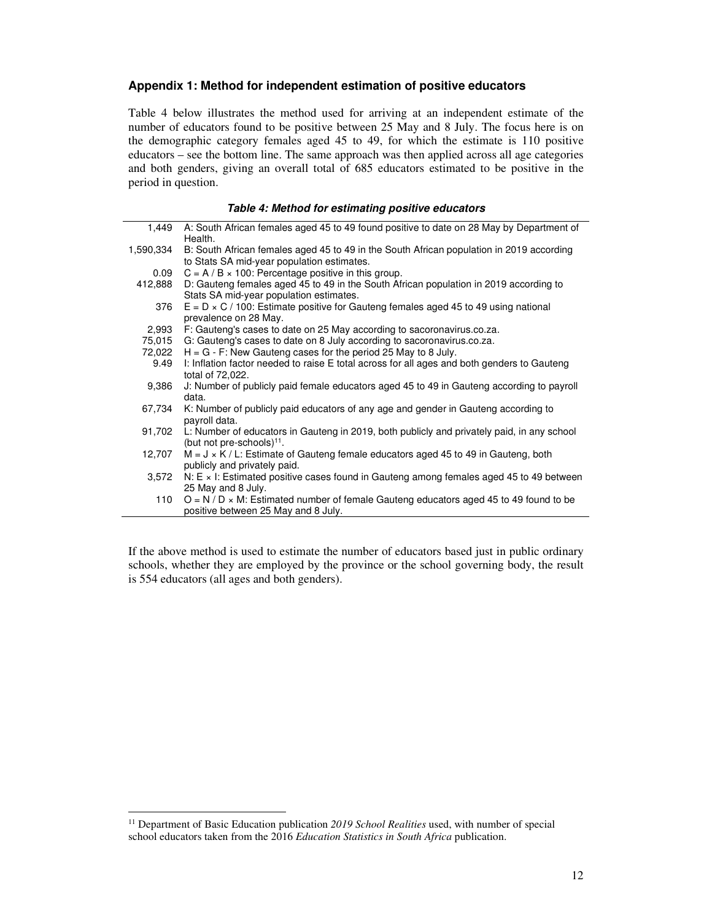#### **Appendix 1: Method for independent estimation of positive educators**

Table 4 below illustrates the method used for arriving at an independent estimate of the number of educators found to be positive between 25 May and 8 July. The focus here is on the demographic category females aged 45 to 49, for which the estimate is 110 positive educators – see the bottom line. The same approach was then applied across all age categories and both genders, giving an overall total of 685 educators estimated to be positive in the period in question.

#### 1,449 A: South African females aged 45 to 49 found positive to date on 28 May by Department of Health. 1,590,334 B: South African females aged 45 to 49 in the South African population in 2019 according to Stats SA mid-year population estimates. 0.09  $C = A / B \times 100$ : Percentage positive in this group. 412,888 D: Gauteng females aged 45 to 49 in the South African population in 2019 according to Stats SA mid-year population estimates. 376  $E = D \times C / 100$ : Estimate positive for Gauteng females aged 45 to 49 using national prevalence on 28 May. 2,993 F: Gauteng's cases to date on 25 May according to sacoronavirus.co.za. 75,015 G: Gauteng's cases to date on 8 July according to sacoronavirus.co.za. 72,022  $H = G - F$ : New Gauteng cases for the period 25 May to 8 July. 9.49 I: Inflation factor needed to raise E total across for all ages and both genders to Gauteng total of 72,022. 9,386 J: Number of publicly paid female educators aged 45 to 49 in Gauteng according to payroll data. 67,734 K: Number of publicly paid educators of any age and gender in Gauteng according to payroll data. 91,702 L: Number of educators in Gauteng in 2019, both publicly and privately paid, in any school (but not pre-schools)<sup>11</sup>. 12,707  $M = J \times K / L$ : Estimate of Gauteng female educators aged 45 to 49 in Gauteng, both publicly and privately paid. 3,572 N: E × I: Estimated positive cases found in Gauteng among females aged 45 to 49 between 25 May and 8 July. 110  $O = N / D \times M$ : Estimated number of female Gauteng educators aged 45 to 49 found to be

#### **Table 4: Method for estimating positive educators**

If the above method is used to estimate the number of educators based just in public ordinary schools, whether they are employed by the province or the school governing body, the result is 554 educators (all ages and both genders).

positive between 25 May and 8 July.

<sup>11</sup> Department of Basic Education publication *2019 School Realities* used, with number of special school educators taken from the 2016 *Education Statistics in South Africa* publication.